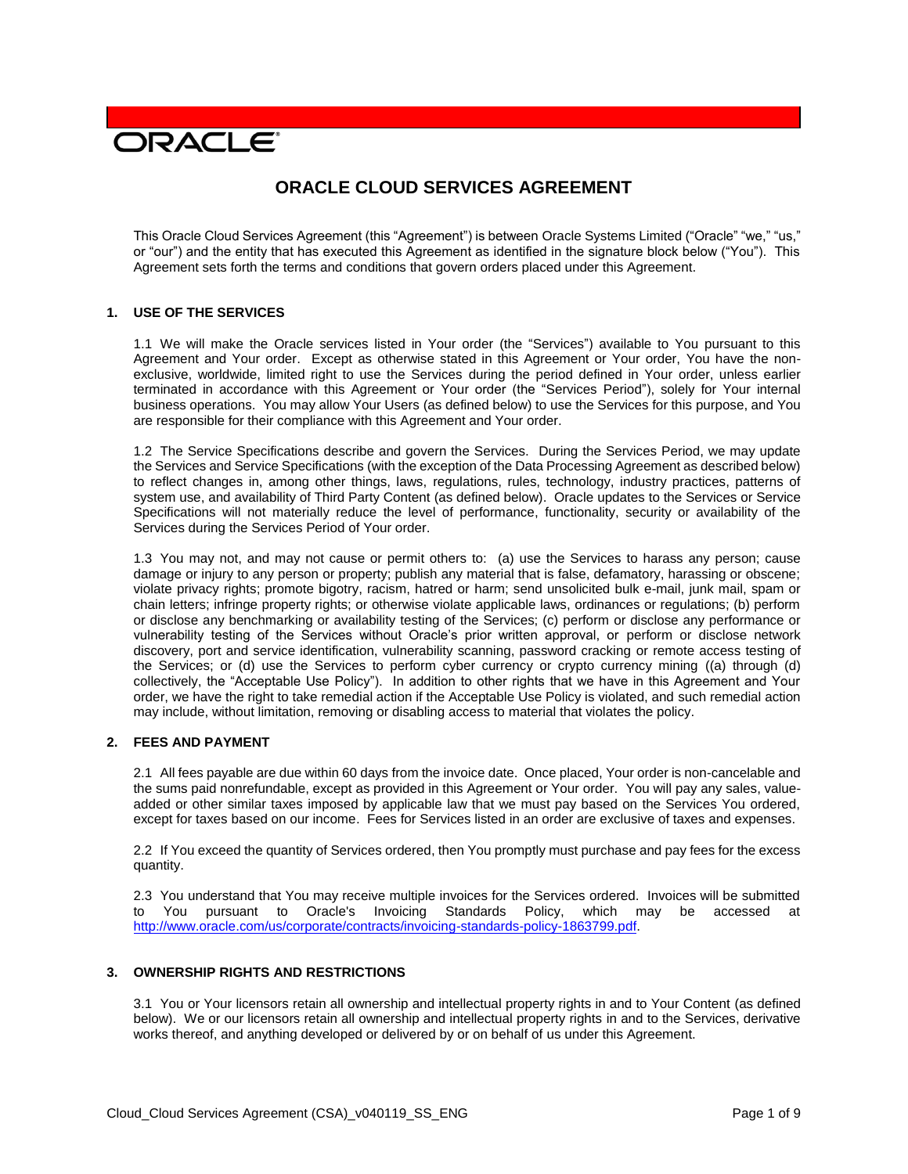# **DRACLE**

# **ORACLE CLOUD SERVICES AGREEMENT**

This Oracle Cloud Services Agreement (this "Agreement") is between Oracle Systems Limited ("Oracle" "we," "us," or "our") and the entity that has executed this Agreement as identified in the signature block below ("You"). This Agreement sets forth the terms and conditions that govern orders placed under this Agreement.

#### **1. USE OF THE SERVICES**

1.1 We will make the Oracle services listed in Your order (the "Services") available to You pursuant to this Agreement and Your order. Except as otherwise stated in this Agreement or Your order, You have the nonexclusive, worldwide, limited right to use the Services during the period defined in Your order, unless earlier terminated in accordance with this Agreement or Your order (the "Services Period"), solely for Your internal business operations. You may allow Your Users (as defined below) to use the Services for this purpose, and You are responsible for their compliance with this Agreement and Your order.

1.2 The Service Specifications describe and govern the Services. During the Services Period, we may update the Services and Service Specifications (with the exception of the Data Processing Agreement as described below) to reflect changes in, among other things, laws, regulations, rules, technology, industry practices, patterns of system use, and availability of Third Party Content (as defined below). Oracle updates to the Services or Service Specifications will not materially reduce the level of performance, functionality, security or availability of the Services during the Services Period of Your order.

1.3 You may not, and may not cause or permit others to: (a) use the Services to harass any person; cause damage or injury to any person or property; publish any material that is false, defamatory, harassing or obscene; violate privacy rights; promote bigotry, racism, hatred or harm; send unsolicited bulk e-mail, junk mail, spam or chain letters; infringe property rights; or otherwise violate applicable laws, ordinances or regulations; (b) perform or disclose any benchmarking or availability testing of the Services; (c) perform or disclose any performance or vulnerability testing of the Services without Oracle's prior written approval, or perform or disclose network discovery, port and service identification, vulnerability scanning, password cracking or remote access testing of the Services; or (d) use the Services to perform cyber currency or crypto currency mining ((a) through (d) collectively, the "Acceptable Use Policy"). In addition to other rights that we have in this Agreement and Your order, we have the right to take remedial action if the Acceptable Use Policy is violated, and such remedial action may include, without limitation, removing or disabling access to material that violates the policy.

# **2. FEES AND PAYMENT**

2.1 All fees payable are due within 60 days from the invoice date. Once placed, Your order is non-cancelable and the sums paid nonrefundable, except as provided in this Agreement or Your order. You will pay any sales, valueadded or other similar taxes imposed by applicable law that we must pay based on the Services You ordered, except for taxes based on our income. Fees for Services listed in an order are exclusive of taxes and expenses.

2.2 If You exceed the quantity of Services ordered, then You promptly must purchase and pay fees for the excess quantity.

2.3 You understand that You may receive multiple invoices for the Services ordered. Invoices will be submitted to You pursuant to Oracle's Invoicing Standards Policy, which may be accessed at [http://www.oracle.com/us/corporate/contracts/invoicing-standards-policy-1863799.pdf.](http://www.oracle.com/us/corporate/contracts/invoicing-standards-policy-1863799.pdf)

#### **3. OWNERSHIP RIGHTS AND RESTRICTIONS**

3.1 You or Your licensors retain all ownership and intellectual property rights in and to Your Content (as defined below). We or our licensors retain all ownership and intellectual property rights in and to the Services, derivative works thereof, and anything developed or delivered by or on behalf of us under this Agreement.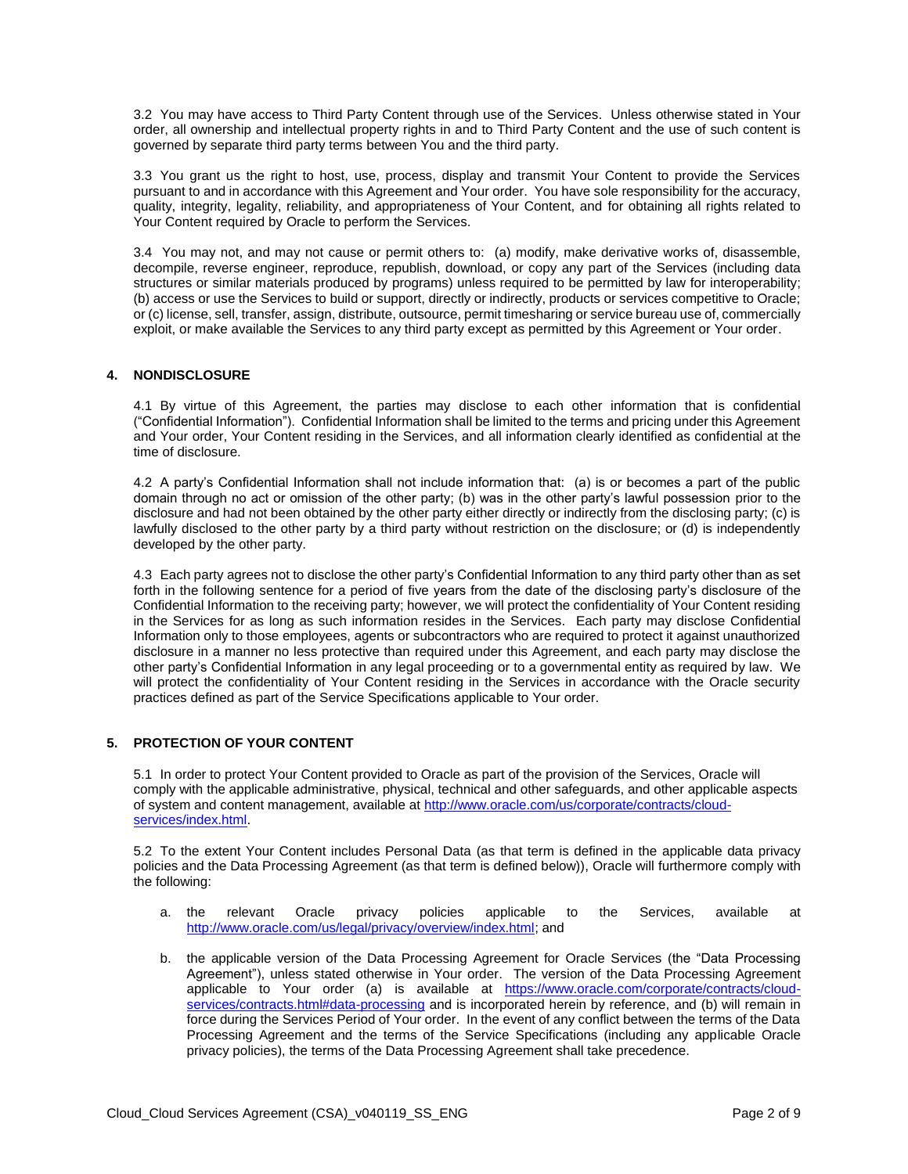3.2 You may have access to Third Party Content through use of the Services. Unless otherwise stated in Your order, all ownership and intellectual property rights in and to Third Party Content and the use of such content is governed by separate third party terms between You and the third party.

3.3 You grant us the right to host, use, process, display and transmit Your Content to provide the Services pursuant to and in accordance with this Agreement and Your order. You have sole responsibility for the accuracy, quality, integrity, legality, reliability, and appropriateness of Your Content, and for obtaining all rights related to Your Content required by Oracle to perform the Services.

3.4 You may not, and may not cause or permit others to: (a) modify, make derivative works of, disassemble, decompile, reverse engineer, reproduce, republish, download, or copy any part of the Services (including data structures or similar materials produced by programs) unless required to be permitted by law for interoperability; (b) access or use the Services to build or support, directly or indirectly, products or services competitive to Oracle; or (c) license, sell, transfer, assign, distribute, outsource, permit timesharing or service bureau use of, commercially exploit, or make available the Services to any third party except as permitted by this Agreement or Your order.

# **4. NONDISCLOSURE**

4.1 By virtue of this Agreement, the parties may disclose to each other information that is confidential ("Confidential Information"). Confidential Information shall be limited to the terms and pricing under this Agreement and Your order, Your Content residing in the Services, and all information clearly identified as confidential at the time of disclosure.

4.2 A party's Confidential Information shall not include information that: (a) is or becomes a part of the public domain through no act or omission of the other party; (b) was in the other party's lawful possession prior to the disclosure and had not been obtained by the other party either directly or indirectly from the disclosing party; (c) is lawfully disclosed to the other party by a third party without restriction on the disclosure; or (d) is independently developed by the other party.

4.3 Each party agrees not to disclose the other party's Confidential Information to any third party other than as set forth in the following sentence for a period of five years from the date of the disclosing party's disclosure of the Confidential Information to the receiving party; however, we will protect the confidentiality of Your Content residing in the Services for as long as such information resides in the Services. Each party may disclose Confidential Information only to those employees, agents or subcontractors who are required to protect it against unauthorized disclosure in a manner no less protective than required under this Agreement, and each party may disclose the other party's Confidential Information in any legal proceeding or to a governmental entity as required by law. We will protect the confidentiality of Your Content residing in the Services in accordance with the Oracle security practices defined as part of the Service Specifications applicable to Your order.

# **5. PROTECTION OF YOUR CONTENT**

5.1 In order to protect Your Content provided to Oracle as part of the provision of the Services, Oracle will comply with the applicable administrative, physical, technical and other safeguards, and other applicable aspects of system and content management, available at [http://www.oracle.com/us/corporate/contracts/cloud](http://www.oracle.com/us/corporate/contracts/cloud-services/index.html)[services/index.html.](http://www.oracle.com/us/corporate/contracts/cloud-services/index.html)

5.2 To the extent Your Content includes Personal Data (as that term is defined in the applicable data privacy policies and the Data Processing Agreement (as that term is defined below)), Oracle will furthermore comply with the following:

- a. the relevant Oracle privacy policies applicable to the Services, available at [http://www.oracle.com/us/legal/privacy/overview/index.html;](http://www.oracle.com/us/legal/privacy/overview/index.html) and
- b. the applicable version of the Data Processing Agreement for Oracle Services (the "Data Processing Agreement"), unless stated otherwise in Your order. The version of the Data Processing Agreement applicable to Your order (a) is available at [https://www.oracle.com/corporate/contracts/cloud](https://www.oracle.com/corporate/contracts/cloud-services/contracts.html#data-processing)[services/contracts.html#data-processing](https://www.oracle.com/corporate/contracts/cloud-services/contracts.html#data-processing) and is incorporated herein by reference, and (b) will remain in force during the Services Period of Your order. In the event of any conflict between the terms of the Data Processing Agreement and the terms of the Service Specifications (including any applicable Oracle privacy policies), the terms of the Data Processing Agreement shall take precedence.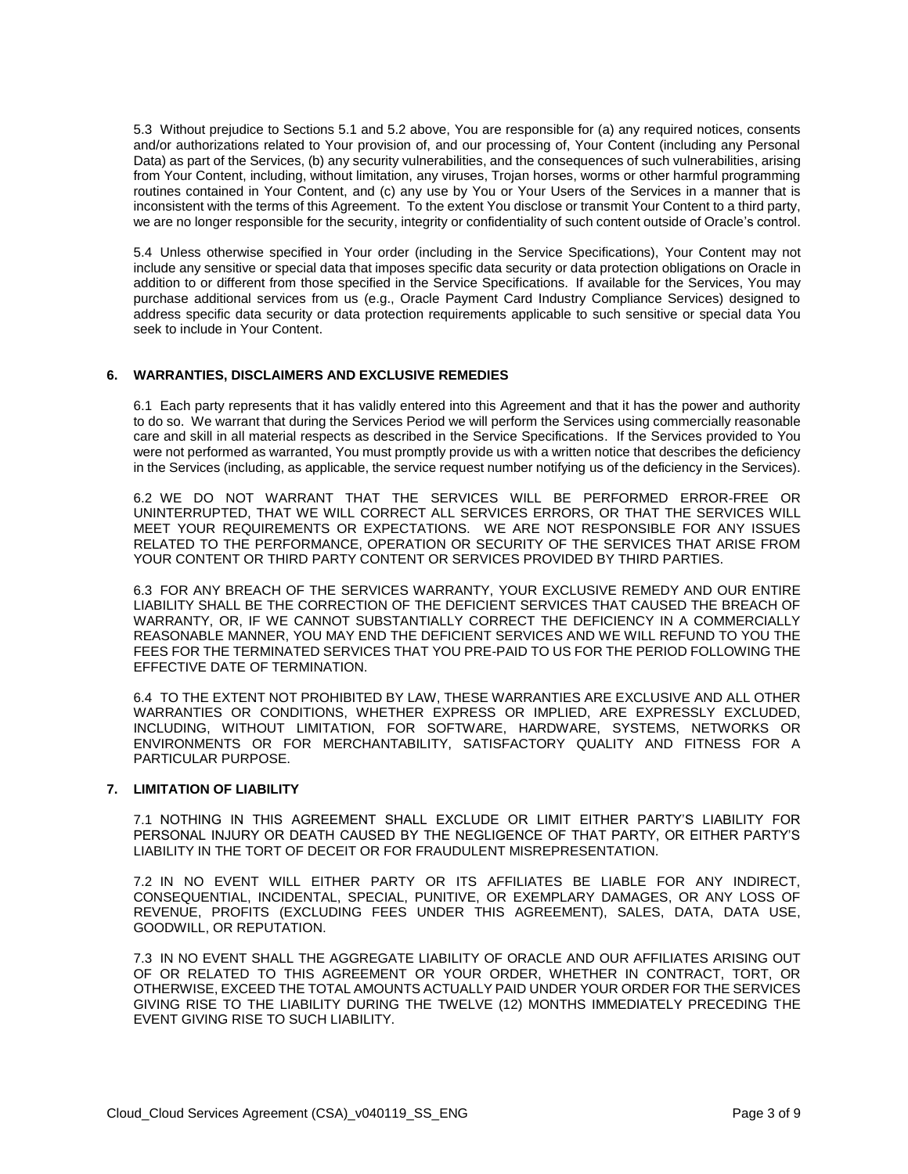5.3 Without prejudice to Sections 5.1 and 5.2 above, You are responsible for (a) any required notices, consents and/or authorizations related to Your provision of, and our processing of, Your Content (including any Personal Data) as part of the Services, (b) any security vulnerabilities, and the consequences of such vulnerabilities, arising from Your Content, including, without limitation, any viruses, Trojan horses, worms or other harmful programming routines contained in Your Content, and (c) any use by You or Your Users of the Services in a manner that is inconsistent with the terms of this Agreement. To the extent You disclose or transmit Your Content to a third party, we are no longer responsible for the security, integrity or confidentiality of such content outside of Oracle's control.

5.4 Unless otherwise specified in Your order (including in the Service Specifications), Your Content may not include any sensitive or special data that imposes specific data security or data protection obligations on Oracle in addition to or different from those specified in the Service Specifications. If available for the Services, You may purchase additional services from us (e.g., Oracle Payment Card Industry Compliance Services) designed to address specific data security or data protection requirements applicable to such sensitive or special data You seek to include in Your Content.

# **6. WARRANTIES, DISCLAIMERS AND EXCLUSIVE REMEDIES**

6.1 Each party represents that it has validly entered into this Agreement and that it has the power and authority to do so. We warrant that during the Services Period we will perform the Services using commercially reasonable care and skill in all material respects as described in the Service Specifications. If the Services provided to You were not performed as warranted, You must promptly provide us with a written notice that describes the deficiency in the Services (including, as applicable, the service request number notifying us of the deficiency in the Services).

6.2 WE DO NOT WARRANT THAT THE SERVICES WILL BE PERFORMED ERROR-FREE OR UNINTERRUPTED, THAT WE WILL CORRECT ALL SERVICES ERRORS, OR THAT THE SERVICES WILL MEET YOUR REQUIREMENTS OR EXPECTATIONS. WE ARE NOT RESPONSIBLE FOR ANY ISSUES RELATED TO THE PERFORMANCE, OPERATION OR SECURITY OF THE SERVICES THAT ARISE FROM YOUR CONTENT OR THIRD PARTY CONTENT OR SERVICES PROVIDED BY THIRD PARTIES.

6.3 FOR ANY BREACH OF THE SERVICES WARRANTY, YOUR EXCLUSIVE REMEDY AND OUR ENTIRE LIABILITY SHALL BE THE CORRECTION OF THE DEFICIENT SERVICES THAT CAUSED THE BREACH OF WARRANTY, OR, IF WE CANNOT SUBSTANTIALLY CORRECT THE DEFICIENCY IN A COMMERCIALLY REASONABLE MANNER, YOU MAY END THE DEFICIENT SERVICES AND WE WILL REFUND TO YOU THE FEES FOR THE TERMINATED SERVICES THAT YOU PRE-PAID TO US FOR THE PERIOD FOLLOWING THE EFFECTIVE DATE OF TERMINATION.

6.4 TO THE EXTENT NOT PROHIBITED BY LAW, THESE WARRANTIES ARE EXCLUSIVE AND ALL OTHER WARRANTIES OR CONDITIONS, WHETHER EXPRESS OR IMPLIED, ARE EXPRESSLY EXCLUDED, INCLUDING, WITHOUT LIMITATION, FOR SOFTWARE, HARDWARE, SYSTEMS, NETWORKS OR ENVIRONMENTS OR FOR MERCHANTABILITY, SATISFACTORY QUALITY AND FITNESS FOR A PARTICULAR PURPOSE.

#### **7. LIMITATION OF LIABILITY**

7.1 NOTHING IN THIS AGREEMENT SHALL EXCLUDE OR LIMIT EITHER PARTY'S LIABILITY FOR PERSONAL INJURY OR DEATH CAUSED BY THE NEGLIGENCE OF THAT PARTY, OR EITHER PARTY'S LIABILITY IN THE TORT OF DECEIT OR FOR FRAUDULENT MISREPRESENTATION.

7.2 IN NO EVENT WILL EITHER PARTY OR ITS AFFILIATES BE LIABLE FOR ANY INDIRECT, CONSEQUENTIAL, INCIDENTAL, SPECIAL, PUNITIVE, OR EXEMPLARY DAMAGES, OR ANY LOSS OF REVENUE, PROFITS (EXCLUDING FEES UNDER THIS AGREEMENT), SALES, DATA, DATA USE, GOODWILL, OR REPUTATION.

7.3 IN NO EVENT SHALL THE AGGREGATE LIABILITY OF ORACLE AND OUR AFFILIATES ARISING OUT OF OR RELATED TO THIS AGREEMENT OR YOUR ORDER, WHETHER IN CONTRACT, TORT, OR OTHERWISE, EXCEED THE TOTAL AMOUNTS ACTUALLY PAID UNDER YOUR ORDER FOR THE SERVICES GIVING RISE TO THE LIABILITY DURING THE TWELVE (12) MONTHS IMMEDIATELY PRECEDING THE EVENT GIVING RISE TO SUCH LIABILITY.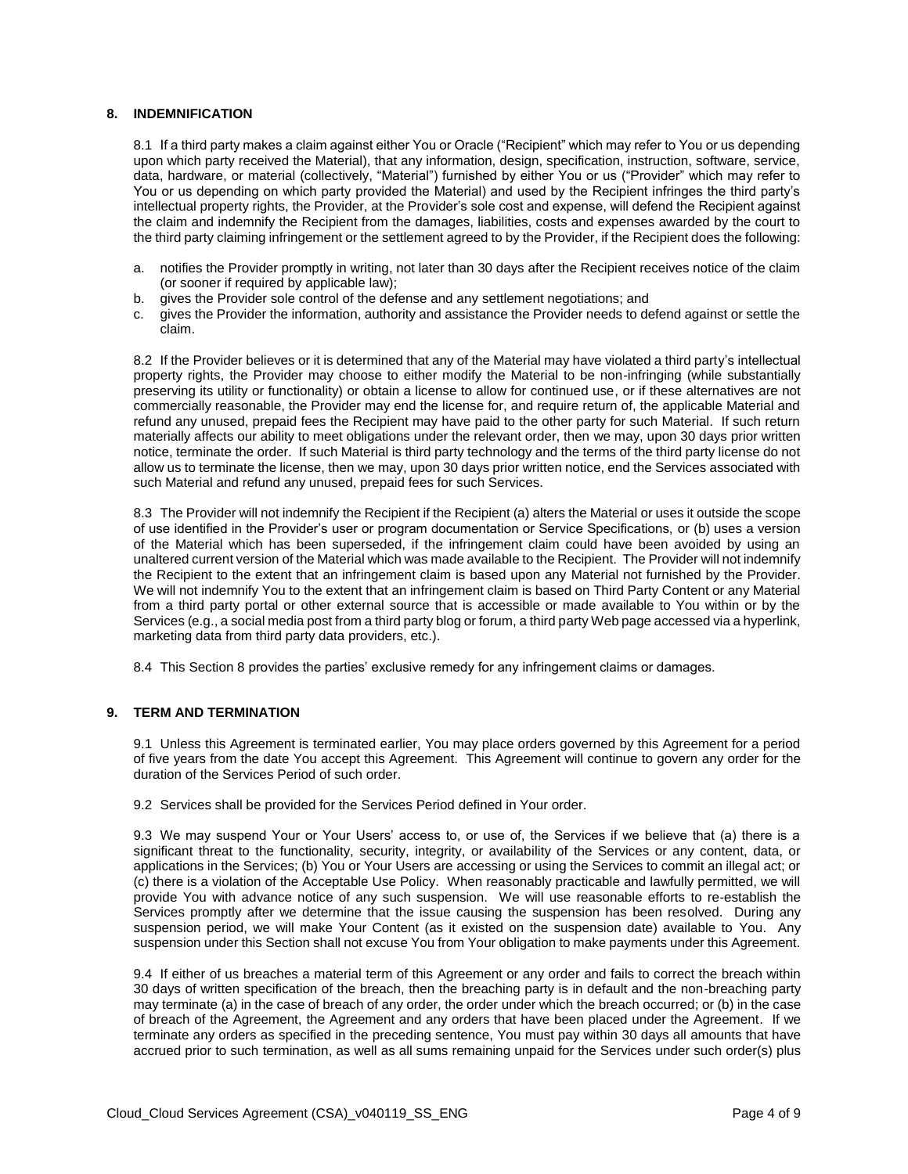#### **8. INDEMNIFICATION**

8.1 If a third party makes a claim against either You or Oracle ("Recipient" which may refer to You or us depending upon which party received the Material), that any information, design, specification, instruction, software, service, data, hardware, or material (collectively, "Material") furnished by either You or us ("Provider" which may refer to You or us depending on which party provided the Material) and used by the Recipient infringes the third party's intellectual property rights, the Provider, at the Provider's sole cost and expense, will defend the Recipient against the claim and indemnify the Recipient from the damages, liabilities, costs and expenses awarded by the court to the third party claiming infringement or the settlement agreed to by the Provider, if the Recipient does the following:

- a. notifies the Provider promptly in writing, not later than 30 days after the Recipient receives notice of the claim (or sooner if required by applicable law);
- b. gives the Provider sole control of the defense and any settlement negotiations; and
- c. gives the Provider the information, authority and assistance the Provider needs to defend against or settle the claim.

8.2 If the Provider believes or it is determined that any of the Material may have violated a third party's intellectual property rights, the Provider may choose to either modify the Material to be non-infringing (while substantially preserving its utility or functionality) or obtain a license to allow for continued use, or if these alternatives are not commercially reasonable, the Provider may end the license for, and require return of, the applicable Material and refund any unused, prepaid fees the Recipient may have paid to the other party for such Material. If such return materially affects our ability to meet obligations under the relevant order, then we may, upon 30 days prior written notice, terminate the order. If such Material is third party technology and the terms of the third party license do not allow us to terminate the license, then we may, upon 30 days prior written notice, end the Services associated with such Material and refund any unused, prepaid fees for such Services.

8.3 The Provider will not indemnify the Recipient if the Recipient (a) alters the Material or uses it outside the scope of use identified in the Provider's user or program documentation or Service Specifications, or (b) uses a version of the Material which has been superseded, if the infringement claim could have been avoided by using an unaltered current version of the Material which was made available to the Recipient. The Provider will not indemnify the Recipient to the extent that an infringement claim is based upon any Material not furnished by the Provider. We will not indemnify You to the extent that an infringement claim is based on Third Party Content or any Material from a third party portal or other external source that is accessible or made available to You within or by the Services (e.g., a social media post from a third party blog or forum, a third party Web page accessed via a hyperlink, marketing data from third party data providers, etc.).

8.4 This Section 8 provides the parties' exclusive remedy for any infringement claims or damages.

#### **9. TERM AND TERMINATION**

9.1 Unless this Agreement is terminated earlier, You may place orders governed by this Agreement for a period of five years from the date You accept this Agreement. This Agreement will continue to govern any order for the duration of the Services Period of such order.

9.2 Services shall be provided for the Services Period defined in Your order.

9.3 We may suspend Your or Your Users' access to, or use of, the Services if we believe that (a) there is a significant threat to the functionality, security, integrity, or availability of the Services or any content, data, or applications in the Services; (b) You or Your Users are accessing or using the Services to commit an illegal act; or (c) there is a violation of the Acceptable Use Policy. When reasonably practicable and lawfully permitted, we will provide You with advance notice of any such suspension. We will use reasonable efforts to re-establish the Services promptly after we determine that the issue causing the suspension has been resolved. During any suspension period, we will make Your Content (as it existed on the suspension date) available to You. Any suspension under this Section shall not excuse You from Your obligation to make payments under this Agreement.

9.4 If either of us breaches a material term of this Agreement or any order and fails to correct the breach within 30 days of written specification of the breach, then the breaching party is in default and the non-breaching party may terminate (a) in the case of breach of any order, the order under which the breach occurred; or (b) in the case of breach of the Agreement, the Agreement and any orders that have been placed under the Agreement. If we terminate any orders as specified in the preceding sentence, You must pay within 30 days all amounts that have accrued prior to such termination, as well as all sums remaining unpaid for the Services under such order(s) plus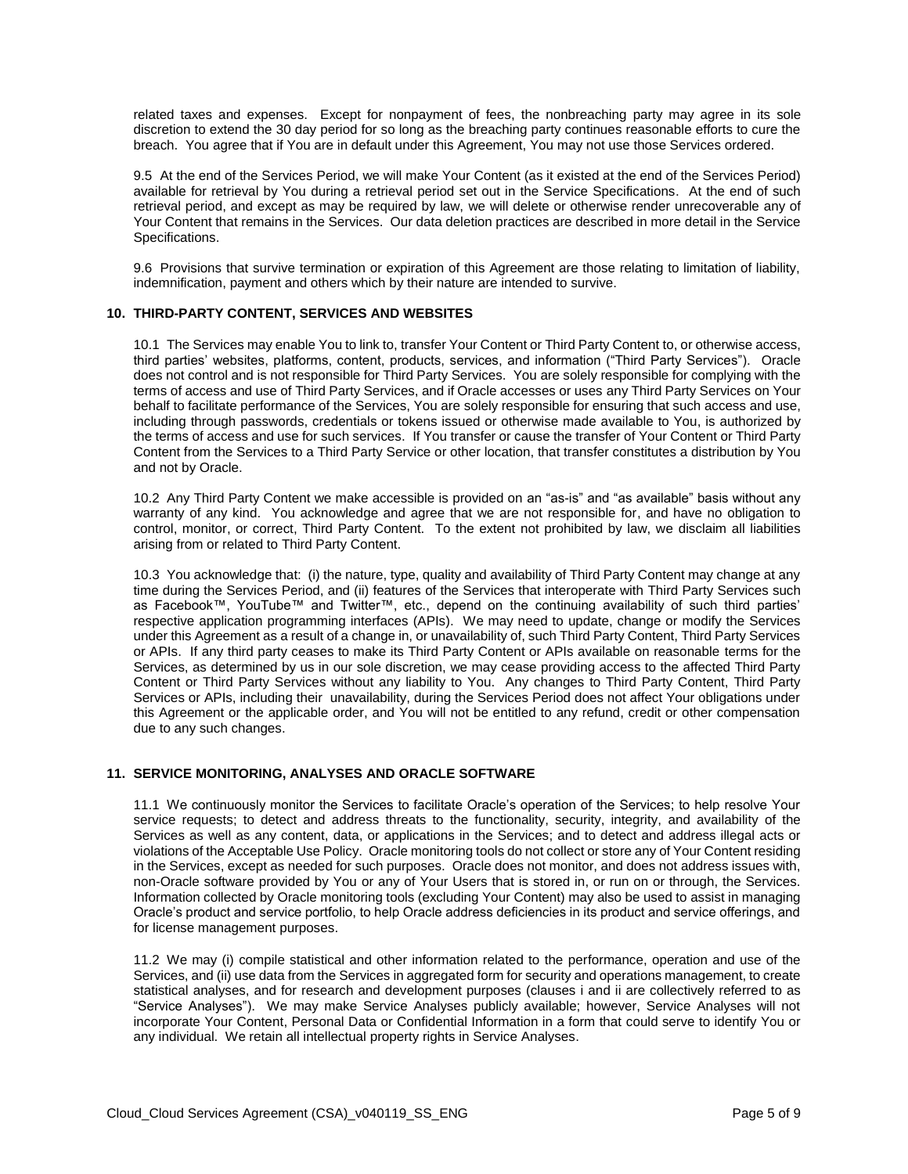related taxes and expenses. Except for nonpayment of fees, the nonbreaching party may agree in its sole discretion to extend the 30 day period for so long as the breaching party continues reasonable efforts to cure the breach. You agree that if You are in default under this Agreement, You may not use those Services ordered.

9.5 At the end of the Services Period, we will make Your Content (as it existed at the end of the Services Period) available for retrieval by You during a retrieval period set out in the Service Specifications. At the end of such retrieval period, and except as may be required by law, we will delete or otherwise render unrecoverable any of Your Content that remains in the Services. Our data deletion practices are described in more detail in the Service Specifications.

9.6 Provisions that survive termination or expiration of this Agreement are those relating to limitation of liability, indemnification, payment and others which by their nature are intended to survive.

# **10. THIRD-PARTY CONTENT, SERVICES AND WEBSITES**

10.1 The Services may enable You to link to, transfer Your Content or Third Party Content to, or otherwise access, third parties' websites, platforms, content, products, services, and information ("Third Party Services"). Oracle does not control and is not responsible for Third Party Services. You are solely responsible for complying with the terms of access and use of Third Party Services, and if Oracle accesses or uses any Third Party Services on Your behalf to facilitate performance of the Services, You are solely responsible for ensuring that such access and use, including through passwords, credentials or tokens issued or otherwise made available to You, is authorized by the terms of access and use for such services. If You transfer or cause the transfer of Your Content or Third Party Content from the Services to a Third Party Service or other location, that transfer constitutes a distribution by You and not by Oracle.

10.2 Any Third Party Content we make accessible is provided on an "as-is" and "as available" basis without any warranty of any kind. You acknowledge and agree that we are not responsible for, and have no obligation to control, monitor, or correct, Third Party Content. To the extent not prohibited by law, we disclaim all liabilities arising from or related to Third Party Content.

10.3 You acknowledge that: (i) the nature, type, quality and availability of Third Party Content may change at any time during the Services Period, and (ii) features of the Services that interoperate with Third Party Services such as Facebook™, YouTube™ and Twitter™, etc., depend on the continuing availability of such third parties' respective application programming interfaces (APIs). We may need to update, change or modify the Services under this Agreement as a result of a change in, or unavailability of, such Third Party Content, Third Party Services or APIs. If any third party ceases to make its Third Party Content or APIs available on reasonable terms for the Services, as determined by us in our sole discretion, we may cease providing access to the affected Third Party Content or Third Party Services without any liability to You. Any changes to Third Party Content, Third Party Services or APIs, including their unavailability, during the Services Period does not affect Your obligations under this Agreement or the applicable order, and You will not be entitled to any refund, credit or other compensation due to any such changes.

#### **11. SERVICE MONITORING, ANALYSES AND ORACLE SOFTWARE**

11.1 We continuously monitor the Services to facilitate Oracle's operation of the Services; to help resolve Your service requests; to detect and address threats to the functionality, security, integrity, and availability of the Services as well as any content, data, or applications in the Services; and to detect and address illegal acts or violations of the Acceptable Use Policy. Oracle monitoring tools do not collect or store any of Your Content residing in the Services, except as needed for such purposes. Oracle does not monitor, and does not address issues with, non-Oracle software provided by You or any of Your Users that is stored in, or run on or through, the Services. Information collected by Oracle monitoring tools (excluding Your Content) may also be used to assist in managing Oracle's product and service portfolio, to help Oracle address deficiencies in its product and service offerings, and for license management purposes.

11.2 We may (i) compile statistical and other information related to the performance, operation and use of the Services, and (ii) use data from the Services in aggregated form for security and operations management, to create statistical analyses, and for research and development purposes (clauses i and ii are collectively referred to as "Service Analyses"). We may make Service Analyses publicly available; however, Service Analyses will not incorporate Your Content, Personal Data or Confidential Information in a form that could serve to identify You or any individual. We retain all intellectual property rights in Service Analyses.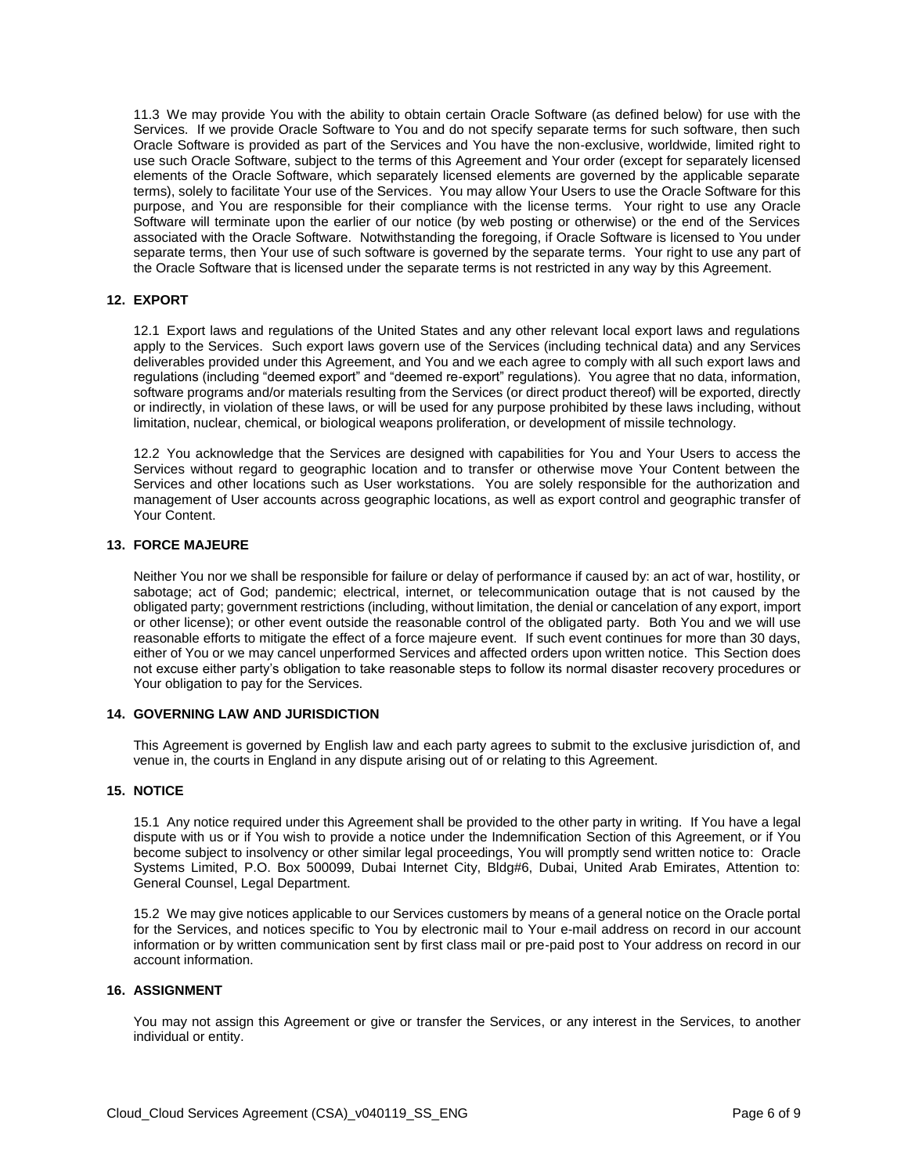11.3 We may provide You with the ability to obtain certain Oracle Software (as defined below) for use with the Services. If we provide Oracle Software to You and do not specify separate terms for such software, then such Oracle Software is provided as part of the Services and You have the non-exclusive, worldwide, limited right to use such Oracle Software, subject to the terms of this Agreement and Your order (except for separately licensed elements of the Oracle Software, which separately licensed elements are governed by the applicable separate terms), solely to facilitate Your use of the Services. You may allow Your Users to use the Oracle Software for this purpose, and You are responsible for their compliance with the license terms. Your right to use any Oracle Software will terminate upon the earlier of our notice (by web posting or otherwise) or the end of the Services associated with the Oracle Software. Notwithstanding the foregoing, if Oracle Software is licensed to You under separate terms, then Your use of such software is governed by the separate terms. Your right to use any part of the Oracle Software that is licensed under the separate terms is not restricted in any way by this Agreement.

#### **12. EXPORT**

12.1 Export laws and regulations of the United States and any other relevant local export laws and regulations apply to the Services. Such export laws govern use of the Services (including technical data) and any Services deliverables provided under this Agreement, and You and we each agree to comply with all such export laws and regulations (including "deemed export" and "deemed re-export" regulations). You agree that no data, information, software programs and/or materials resulting from the Services (or direct product thereof) will be exported, directly or indirectly, in violation of these laws, or will be used for any purpose prohibited by these laws including, without limitation, nuclear, chemical, or biological weapons proliferation, or development of missile technology.

12.2 You acknowledge that the Services are designed with capabilities for You and Your Users to access the Services without regard to geographic location and to transfer or otherwise move Your Content between the Services and other locations such as User workstations. You are solely responsible for the authorization and management of User accounts across geographic locations, as well as export control and geographic transfer of Your Content.

#### **13. FORCE MAJEURE**

Neither You nor we shall be responsible for failure or delay of performance if caused by: an act of war, hostility, or sabotage; act of God; pandemic; electrical, internet, or telecommunication outage that is not caused by the obligated party; government restrictions (including, without limitation, the denial or cancelation of any export, import or other license); or other event outside the reasonable control of the obligated party. Both You and we will use reasonable efforts to mitigate the effect of a force majeure event. If such event continues for more than 30 days, either of You or we may cancel unperformed Services and affected orders upon written notice. This Section does not excuse either party's obligation to take reasonable steps to follow its normal disaster recovery procedures or Your obligation to pay for the Services.

#### **14. GOVERNING LAW AND JURISDICTION**

This Agreement is governed by English law and each party agrees to submit to the exclusive jurisdiction of, and venue in, the courts in England in any dispute arising out of or relating to this Agreement.

#### **15. NOTICE**

15.1 Any notice required under this Agreement shall be provided to the other party in writing. If You have a legal dispute with us or if You wish to provide a notice under the Indemnification Section of this Agreement, or if You become subject to insolvency or other similar legal proceedings, You will promptly send written notice to: Oracle Systems Limited, P.O. Box 500099, Dubai Internet City, Bldg#6, Dubai, United Arab Emirates, Attention to: General Counsel, Legal Department.

15.2 We may give notices applicable to our Services customers by means of a general notice on the Oracle portal for the Services, and notices specific to You by electronic mail to Your e-mail address on record in our account information or by written communication sent by first class mail or pre-paid post to Your address on record in our account information.

#### **16. ASSIGNMENT**

You may not assign this Agreement or give or transfer the Services, or any interest in the Services, to another individual or entity.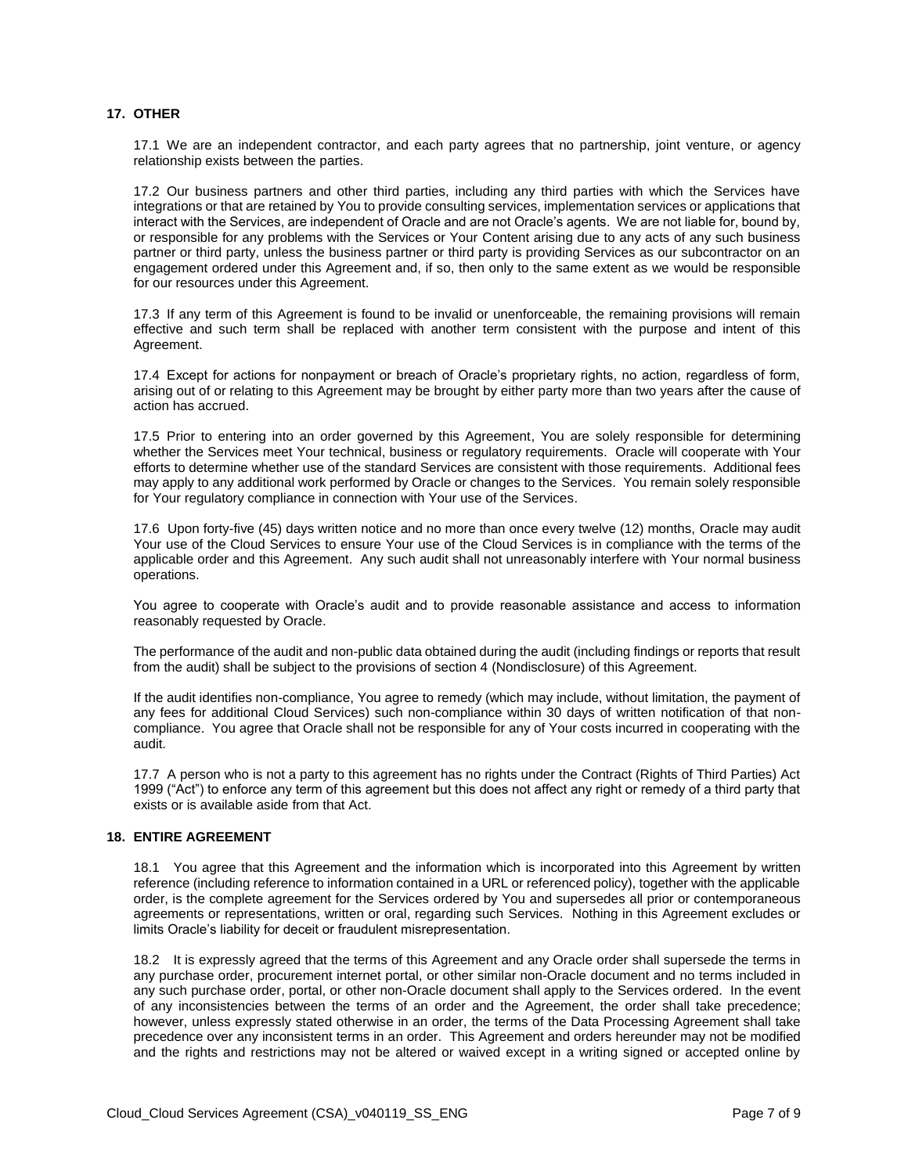#### **17. OTHER**

17.1 We are an independent contractor, and each party agrees that no partnership, joint venture, or agency relationship exists between the parties.

17.2 Our business partners and other third parties, including any third parties with which the Services have integrations or that are retained by You to provide consulting services, implementation services or applications that interact with the Services, are independent of Oracle and are not Oracle's agents. We are not liable for, bound by, or responsible for any problems with the Services or Your Content arising due to any acts of any such business partner or third party, unless the business partner or third party is providing Services as our subcontractor on an engagement ordered under this Agreement and, if so, then only to the same extent as we would be responsible for our resources under this Agreement.

17.3 If any term of this Agreement is found to be invalid or unenforceable, the remaining provisions will remain effective and such term shall be replaced with another term consistent with the purpose and intent of this Agreement.

17.4 Except for actions for nonpayment or breach of Oracle's proprietary rights, no action, regardless of form, arising out of or relating to this Agreement may be brought by either party more than two years after the cause of action has accrued.

17.5 Prior to entering into an order governed by this Agreement, You are solely responsible for determining whether the Services meet Your technical, business or regulatory requirements. Oracle will cooperate with Your efforts to determine whether use of the standard Services are consistent with those requirements. Additional fees may apply to any additional work performed by Oracle or changes to the Services. You remain solely responsible for Your regulatory compliance in connection with Your use of the Services.

17.6 Upon forty-five (45) days written notice and no more than once every twelve (12) months, Oracle may audit Your use of the Cloud Services to ensure Your use of the Cloud Services is in compliance with the terms of the applicable order and this Agreement. Any such audit shall not unreasonably interfere with Your normal business operations.

You agree to cooperate with Oracle's audit and to provide reasonable assistance and access to information reasonably requested by Oracle.

The performance of the audit and non-public data obtained during the audit (including findings or reports that result from the audit) shall be subject to the provisions of section 4 (Nondisclosure) of this Agreement.

If the audit identifies non-compliance, You agree to remedy (which may include, without limitation, the payment of any fees for additional Cloud Services) such non-compliance within 30 days of written notification of that noncompliance. You agree that Oracle shall not be responsible for any of Your costs incurred in cooperating with the audit.

17.7 A person who is not a party to this agreement has no rights under the Contract (Rights of Third Parties) Act 1999 ("Act") to enforce any term of this agreement but this does not affect any right or remedy of a third party that exists or is available aside from that Act.

#### **18. ENTIRE AGREEMENT**

18.1 You agree that this Agreement and the information which is incorporated into this Agreement by written reference (including reference to information contained in a URL or referenced policy), together with the applicable order, is the complete agreement for the Services ordered by You and supersedes all prior or contemporaneous agreements or representations, written or oral, regarding such Services. Nothing in this Agreement excludes or limits Oracle's liability for deceit or fraudulent misrepresentation.

18.2 It is expressly agreed that the terms of this Agreement and any Oracle order shall supersede the terms in any purchase order, procurement internet portal, or other similar non-Oracle document and no terms included in any such purchase order, portal, or other non-Oracle document shall apply to the Services ordered. In the event of any inconsistencies between the terms of an order and the Agreement, the order shall take precedence; however, unless expressly stated otherwise in an order, the terms of the Data Processing Agreement shall take precedence over any inconsistent terms in an order. This Agreement and orders hereunder may not be modified and the rights and restrictions may not be altered or waived except in a writing signed or accepted online by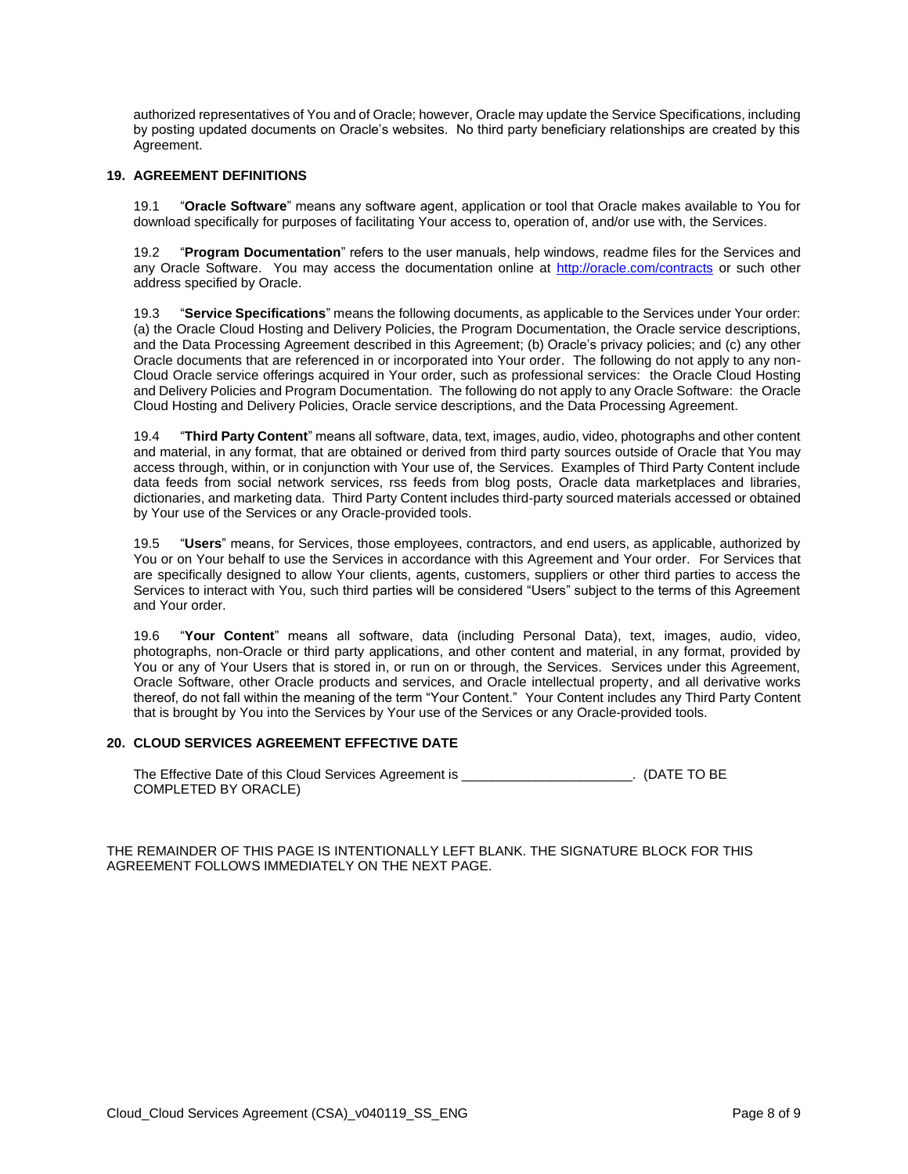authorized representatives of You and of Oracle; however, Oracle may update the Service Specifications, including by posting updated documents on Oracle's websites. No third party beneficiary relationships are created by this Agreement.

#### **19. AGREEMENT DEFINITIONS**

19.1 "**Oracle Software**" means any software agent, application or tool that Oracle makes available to You for download specifically for purposes of facilitating Your access to, operation of, and/or use with, the Services.

19.2 "**Program Documentation**" refers to the user manuals, help windows, readme files for the Services and any Oracle Software. You may access the documentation online at<http://oracle.com/contracts> or such other address specified by Oracle.

19.3 "**Service Specifications**" means the following documents, as applicable to the Services under Your order: (a) the Oracle Cloud Hosting and Delivery Policies, the Program Documentation, the Oracle service descriptions, and the Data Processing Agreement described in this Agreement; (b) Oracle's privacy policies; and (c) any other Oracle documents that are referenced in or incorporated into Your order. The following do not apply to any non-Cloud Oracle service offerings acquired in Your order, such as professional services: the Oracle Cloud Hosting and Delivery Policies and Program Documentation. The following do not apply to any Oracle Software: the Oracle Cloud Hosting and Delivery Policies, Oracle service descriptions, and the Data Processing Agreement.

19.4 "**Third Party Content**" means all software, data, text, images, audio, video, photographs and other content and material, in any format, that are obtained or derived from third party sources outside of Oracle that You may access through, within, or in conjunction with Your use of, the Services. Examples of Third Party Content include data feeds from social network services, rss feeds from blog posts, Oracle data marketplaces and libraries, dictionaries, and marketing data. Third Party Content includes third-party sourced materials accessed or obtained by Your use of the Services or any Oracle-provided tools.

19.5 "**Users**" means, for Services, those employees, contractors, and end users, as applicable, authorized by You or on Your behalf to use the Services in accordance with this Agreement and Your order. For Services that are specifically designed to allow Your clients, agents, customers, suppliers or other third parties to access the Services to interact with You, such third parties will be considered "Users" subject to the terms of this Agreement and Your order.

19.6 "**Your Content**" means all software, data (including Personal Data), text, images, audio, video, photographs, non-Oracle or third party applications, and other content and material, in any format, provided by You or any of Your Users that is stored in, or run on or through, the Services. Services under this Agreement, Oracle Software, other Oracle products and services, and Oracle intellectual property, and all derivative works thereof, do not fall within the meaning of the term "Your Content." Your Content includes any Third Party Content that is brought by You into the Services by Your use of the Services or any Oracle-provided tools.

#### **20. CLOUD SERVICES AGREEMENT EFFECTIVE DATE**

The Effective Date of this Cloud Services Agreement is \_\_\_\_\_\_\_\_\_\_\_\_\_\_\_\_\_\_\_\_\_\_\_. (DATE TO BE COMPLETED BY ORACLE)

THE REMAINDER OF THIS PAGE IS INTENTIONALLY LEFT BLANK. THE SIGNATURE BLOCK FOR THIS AGREEMENT FOLLOWS IMMEDIATELY ON THE NEXT PAGE.